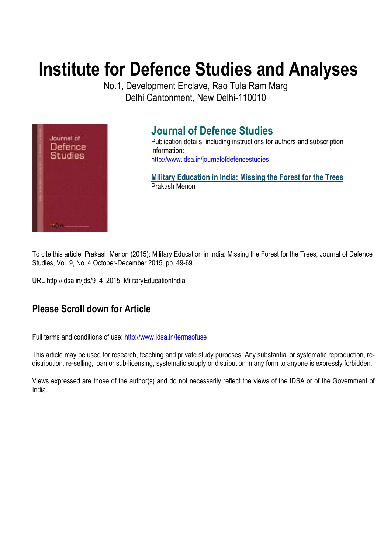# **Institute for Defence Studies and Analyses**

No.1, Development Enclave, Rao Tula Ram Marg Delhi Cantonment, New Delhi-110010



## **Journal of Defence Studies**

Publication details, including instructions for authors and subscription information: http://www.idsa.in/journalofdefencestudies

**Military Education in India: Missing the Forest for the Trees**  Prakash Menon

To cite this article: Prakash Menon (2015): Military Education in India: Missing the Forest for the Trees, Journal of Defence Studies, Vol. 9, No. 4 October-December 2015, pp. 49-69.

URL http://idsa.in/jds/9\_4\_2015\_MilitaryEducationIndia

## **Please Scroll down for Article**

Full terms and conditions of use: http://www.idsa.in/termsofuse

This article may be used for research, teaching and private study purposes. Any substantial or systematic reproduction, redistribution, re-selling, loan or sub-licensing, systematic supply or distribution in any form to anyone is expressly forbidden.

Views expressed are those of the author(s) and do not necessarily reflect the views of the IDSA or of the Government of India.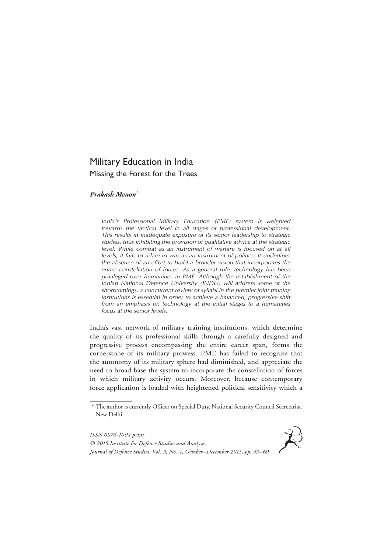### Military Education in India Missing the Forest for the Trees

#### *Prakash Menon\**

*India's Professional Military Education (PME) system is weighted*  towards the tactical level in all stages of professional development. *This results in inadequate exposure of its senior leadership to strategic studies, thus inhibiting the provision of qualitative advice at the strategic level. While combat as an instrument of warfare is focused on at all levels, it fails to relate to war as an instrument of politics. It underlines the absence of an effort to build a broader vision that incorporates the entire constellation of forces. As a general rule, technology has been privileged over humanities in PME. Although the establishment of the Indian National Defence University (INDU) will address some of the shortcomings, a concurrent review of syllabi in the premier joint training institutions is essential in order to achieve a balanced, progressive shift from an emphasis on technology at the initial stages to a humanities focus at the senior levels.*

India's vast network of military training institutions, which determine the quality of its professional skills through a carefully designed and progressive process encompassing the entire career span, forms the cornerstone of its military prowess. PME has failed to recognise that the autonomy of its military sphere had diminished, and appreciate the need to broad base the system to incorporate the constellation of forces in which military activity occurs. Moreover, because contemporary force application is loaded with heightened political sensitivity which a

*ISSN 0976-1004 print © 2015 Institute for Defence Studies and Analyses Journal of Defence Studies, Vol. 9, No. 4, October–December 2015, pp. 49–69*



<sup>\*</sup> The author is currently Officer on Special Duty, National Security Council Secretariat, New Delhi.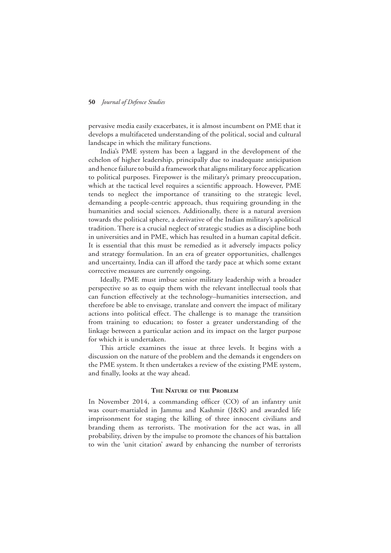pervasive media easily exacerbates, it is almost incumbent on PME that it develops a multifaceted understanding of the political, social and cultural landscape in which the military functions.

India's PME system has been a laggard in the development of the echelon of higher leadership, principally due to inadequate anticipation and hence failure to build a framework that aligns military force application to political purposes. Firepower is the military's primary preoccupation, which at the tactical level requires a scientific approach. However, PME tends to neglect the importance of transiting to the strategic level, demanding a people-centric approach, thus requiring grounding in the humanities and social sciences. Additionally, there is a natural aversion towards the political sphere, a derivative of the Indian military's apolitical tradition. There is a crucial neglect of strategic studies as a discipline both in universities and in PME, which has resulted in a human capital deficit. It is essential that this must be remedied as it adversely impacts policy and strategy formulation. In an era of greater opportunities, challenges and uncertainty, India can ill afford the tardy pace at which some extant corrective measures are currently ongoing.

Ideally, PME must imbue senior military leadership with a broader perspective so as to equip them with the relevant intellectual tools that can function effectively at the technology–humanities intersection, and therefore be able to envisage, translate and convert the impact of military actions into political effect. The challenge is to manage the transition from training to education; to foster a greater understanding of the linkage between a particular action and its impact on the larger purpose for which it is undertaken.

This article examines the issue at three levels. It begins with a discussion on the nature of the problem and the demands it engenders on the PME system. It then undertakes a review of the existing PME system, and finally, looks at the way ahead.

#### **The Nature of the Problem**

In November 2014, a commanding officer (CO) of an infantry unit was court-martialed in Jammu and Kashmir (J&K) and awarded life imprisonment for staging the killing of three innocent civilians and branding them as terrorists. The motivation for the act was, in all probability, driven by the impulse to promote the chances of his battalion to win the 'unit citation' award by enhancing the number of terrorists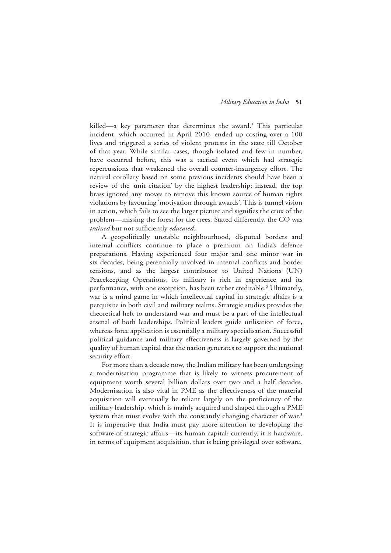killed—a key parameter that determines the award.<sup>1</sup> This particular incident, which occurred in April 2010, ended up costing over a 100 lives and triggered a series of violent protests in the state till October of that year. While similar cases, though isolated and few in number, have occurred before, this was a tactical event which had strategic repercussions that weakened the overall counter-insurgency effort. The natural corollary based on some previous incidents should have been a review of the 'unit citation' by the highest leadership; instead, the top brass ignored any moves to remove this known source of human rights violations by favouring 'motivation through awards'. This is tunnel vision in action, which fails to see the larger picture and signifies the crux of the problem—missing the forest for the trees. Stated differently, the CO was *trained* but not sufficiently *educated*.

A geopolitically unstable neighbourhood, disputed borders and internal conflicts continue to place a premium on India's defence preparations. Having experienced four major and one minor war in six decades, being perennially involved in internal conflicts and border tensions, and as the largest contributor to United Nations (UN) Peacekeeping Operations, its military is rich in experience and its performance, with one exception, has been rather creditable.<sup>2</sup> Ultimately, war is a mind game in which intellectual capital in strategic affairs is a perquisite in both civil and military realms. Strategic studies provides the theoretical heft to understand war and must be a part of the intellectual arsenal of both leaderships. Political leaders guide utilisation of force, whereas force application is essentially a military specialisation. Successful political guidance and military effectiveness is largely governed by the quality of human capital that the nation generates to support the national security effort.

For more than a decade now, the Indian military has been undergoing a modernisation programme that is likely to witness procurement of equipment worth several billion dollars over two and a half decades. Modernisation is also vital in PME as the effectiveness of the material acquisition will eventually be reliant largely on the proficiency of the military leadership, which is mainly acquired and shaped through a PME system that must evolve with the constantly changing character of war.<sup>3</sup> It is imperative that India must pay more attention to developing the software of strategic affairs—its human capital; currently, it is hardware, in terms of equipment acquisition, that is being privileged over software.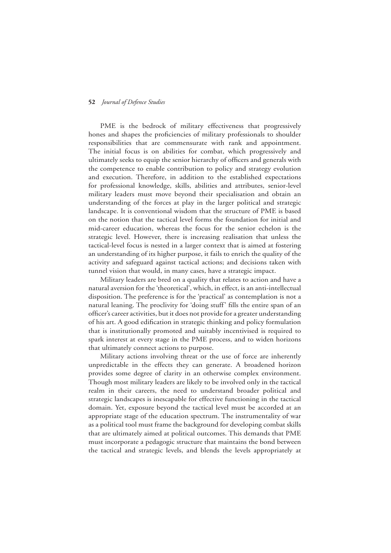PME is the bedrock of military effectiveness that progressively hones and shapes the proficiencies of military professionals to shoulder responsibilities that are commensurate with rank and appointment. The initial focus is on abilities for combat, which progressively and ultimately seeks to equip the senior hierarchy of officers and generals with the competence to enable contribution to policy and strategy evolution and execution. Therefore, in addition to the established expectations for professional knowledge, skills, abilities and attributes, senior-level military leaders must move beyond their specialisation and obtain an understanding of the forces at play in the larger political and strategic landscape. It is conventional wisdom that the structure of PME is based on the notion that the tactical level forms the foundation for initial and mid-career education, whereas the focus for the senior echelon is the strategic level. However, there is increasing realisation that unless the tactical-level focus is nested in a larger context that is aimed at fostering an understanding of its higher purpose, it fails to enrich the quality of the activity and safeguard against tactical actions; and decisions taken with tunnel vision that would, in many cases, have a strategic impact.

Military leaders are bred on a quality that relates to action and have a natural aversion for the 'theoretical', which, in effect, is an anti-intellectual disposition. The preference is for the 'practical' as contemplation is not a natural leaning. The proclivity for 'doing stuff' fills the entire span of an officer's career activities, but it does not provide for a greater understanding of his art. A good edification in strategic thinking and policy formulation that is institutionally promoted and suitably incentivised is required to spark interest at every stage in the PME process, and to widen horizons that ultimately connect actions to purpose.

Military actions involving threat or the use of force are inherently unpredictable in the effects they can generate. A broadened horizon provides some degree of clarity in an otherwise complex environment. Though most military leaders are likely to be involved only in the tactical realm in their careers, the need to understand broader political and strategic landscapes is inescapable for effective functioning in the tactical domain. Yet, exposure beyond the tactical level must be accorded at an appropriate stage of the education spectrum. The instrumentality of war as a political tool must frame the background for developing combat skills that are ultimately aimed at political outcomes. This demands that PME must incorporate a pedagogic structure that maintains the bond between the tactical and strategic levels, and blends the levels appropriately at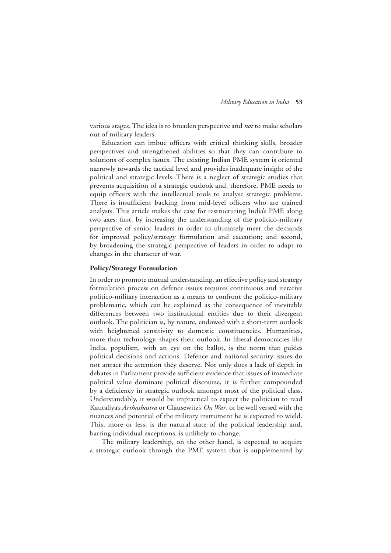various stages. The idea is to broaden perspective and *not* to make scholars out of military leaders.

Education can imbue officers with critical thinking skills, broader perspectives and strengthened abilities so that they can contribute to solutions of complex issues. The existing Indian PME system is oriented narrowly towards the tactical level and provides inadequate insight of the political and strategic levels. There is a neglect of strategic studies that prevents acquisition of a strategic outlook and, therefore, PME needs to equip officers with the intellectual tools to analyse strategic problems. There is insufficient backing from mid-level officers who are trained analysts. This article makes the case for restructuring India's PME along two axes: first, by increasing the understanding of the politico-military perspective of senior leaders in order to ultimately meet the demands for improved policy/strategy formulation and execution; and second, by broadening the strategic perspective of leaders in order to adapt to changes in the character of war.

#### **Policy/Strategy Formulation**

In order to promote mutual understanding, an effective policy and strategy formulation process on defence issues requires continuous and iterative politico-military interaction as a means to confront the politico-military problematic, which can be explained as the consequence of inevitable differences between two institutional entities due to their divergent outlook. The politician is, by nature, endowed with a short-term outlook with heightened sensitivity to domestic constituencies. Humanities, more than technology, shapes their outlook. In liberal democracies like India, populism, with an eye on the ballot, is the norm that guides political decisions and actions. Defence and national security issues do not attract the attention they deserve. Not only does a lack of depth in debates in Parliament provide sufficient evidence that issues of immediate political value dominate political discourse, it is further compounded by a deficiency in strategic outlook amongst most of the political class. Understandably, it would be impractical to expect the politician to read Kautaliya's *Arthashastra* or Clausewitz's *On War*, or be well versed with the nuances and potential of the military instrument he is expected to wield. This, more or less, is the natural state of the political leadership and, barring individual exceptions, is unlikely to change.

The military leadership, on the other hand, is expected to acquire a strategic outlook through the PME system that is supplemented by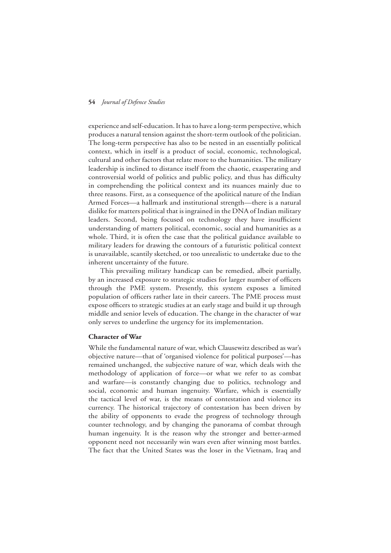experience and self-education. It has to have a long-term perspective, which produces a natural tension against the short-term outlook of the politician. The long-term perspective has also to be nested in an essentially political context, which in itself is a product of social, economic, technological, cultural and other factors that relate more to the humanities. The military leadership is inclined to distance itself from the chaotic, exasperating and controversial world of politics and public policy, and thus has difficulty in comprehending the political context and its nuances mainly due to three reasons. First, as a consequence of the apolitical nature of the Indian Armed Forces—a hallmark and institutional strength—there is a natural dislike for matters political that is ingrained in the DNA of Indian military leaders. Second, being focused on technology they have insufficient understanding of matters political, economic, social and humanities as a whole. Third, it is often the case that the political guidance available to military leaders for drawing the contours of a futuristic political context is unavailable, scantily sketched, or too unrealistic to undertake due to the inherent uncertainty of the future.

This prevailing military handicap can be remedied, albeit partially, by an increased exposure to strategic studies for larger number of officers through the PME system. Presently, this system exposes a limited population of officers rather late in their careers. The PME process must expose officers to strategic studies at an early stage and build it up through middle and senior levels of education. The change in the character of war only serves to underline the urgency for its implementation.

#### **Character of War**

While the fundamental nature of war, which Clausewitz described as war's objective nature—that of 'organised violence for political purposes'—has remained unchanged, the subjective nature of war, which deals with the methodology of application of force—or what we refer to as combat and warfare—is constantly changing due to politics, technology and social, economic and human ingenuity. Warfare, which is essentially the tactical level of war, is the means of contestation and violence its currency. The historical trajectory of contestation has been driven by the ability of opponents to evade the progress of technology through counter technology, and by changing the panorama of combat through human ingenuity. It is the reason why the stronger and better-armed opponent need not necessarily win wars even after winning most battles. The fact that the United States was the loser in the Vietnam, Iraq and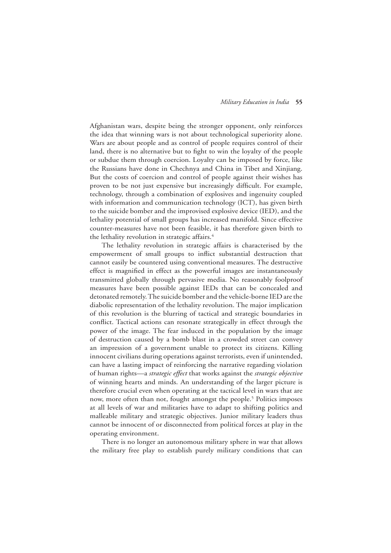Afghanistan wars, despite being the stronger opponent, only reinforces the idea that winning wars is not about technological superiority alone. Wars are about people and as control of people requires control of their land, there is no alternative but to fight to win the loyalty of the people or subdue them through coercion. Loyalty can be imposed by force, like the Russians have done in Chechnya and China in Tibet and Xinjiang. But the costs of coercion and control of people against their wishes has proven to be not just expensive but increasingly difficult. For example, technology, through a combination of explosives and ingenuity coupled with information and communication technology (ICT), has given birth to the suicide bomber and the improvised explosive device (IED), and the lethality potential of small groups has increased manifold. Since effective counter-measures have not been feasible, it has therefore given birth to the lethality revolution in strategic affairs.<sup>4</sup>

The lethality revolution in strategic affairs is characterised by the empowerment of small groups to inflict substantial destruction that cannot easily be countered using conventional measures. The destructive effect is magnified in effect as the powerful images are instantaneously transmitted globally through pervasive media. No reasonably foolproof measures have been possible against IEDs that can be concealed and detonated remotely. The suicide bomber and the vehicle-borne IED are the diabolic representation of the lethality revolution. The major implication of this revolution is the blurring of tactical and strategic boundaries in conflict. Tactical actions can resonate strategically in effect through the power of the image. The fear induced in the population by the image of destruction caused by a bomb blast in a crowded street can convey an impression of a government unable to protect its citizens. Killing innocent civilians during operations against terrorists, even if unintended, can have a lasting impact of reinforcing the narrative regarding violation of human rights—a *strategic effect* that works against the *strategic objective* of winning hearts and minds. An understanding of the larger picture is therefore crucial even when operating at the tactical level in wars that are now, more often than not, fought amongst the people.<sup>5</sup> Politics imposes at all levels of war and militaries have to adapt to shifting politics and malleable military and strategic objectives. Junior military leaders thus cannot be innocent of or disconnected from political forces at play in the operating environment.

There is no longer an autonomous military sphere in war that allows the military free play to establish purely military conditions that can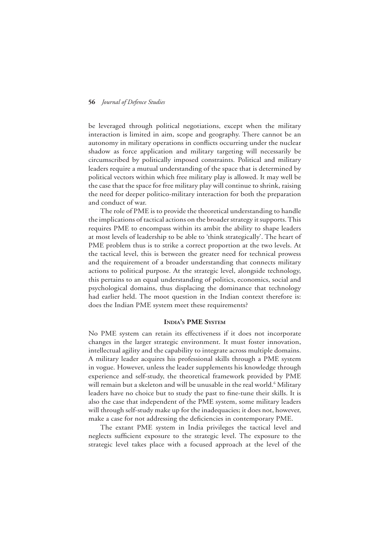be leveraged through political negotiations, except when the military interaction is limited in aim, scope and geography. There cannot be an autonomy in military operations in conflicts occurring under the nuclear shadow as force application and military targeting will necessarily be circumscribed by politically imposed constraints. Political and military leaders require a mutual understanding of the space that is determined by political vectors within which free military play is allowed. It may well be the case that the space for free military play will continue to shrink, raising the need for deeper politico-military interaction for both the preparation and conduct of war.

The role of PME is to provide the theoretical understanding to handle the implications of tactical actions on the broader strategy it supports. This requires PME to encompass within its ambit the ability to shape leaders at most levels of leadership to be able to 'think strategically'. The heart of PME problem thus is to strike a correct proportion at the two levels. At the tactical level, this is between the greater need for technical prowess and the requirement of a broader understanding that connects military actions to political purpose. At the strategic level, alongside technology, this pertains to an equal understanding of politics, economics, social and psychological domains, thus displacing the dominance that technology had earlier held. The moot question in the Indian context therefore is: does the Indian PME system meet these requirements?

#### **India's PME System**

No PME system can retain its effectiveness if it does not incorporate changes in the larger strategic environment. It must foster innovation, intellectual agility and the capability to integrate across multiple domains. A military leader acquires his professional skills through a PME system in vogue. However, unless the leader supplements his knowledge through experience and self-study, the theoretical framework provided by PME will remain but a skeleton and will be unusable in the real world.<sup>6</sup> Military leaders have no choice but to study the past to fine-tune their skills. It is also the case that independent of the PME system, some military leaders will through self-study make up for the inadequacies; it does not, however, make a case for not addressing the deficiencies in contemporary PME.

The extant PME system in India privileges the tactical level and neglects sufficient exposure to the strategic level. The exposure to the strategic level takes place with a focused approach at the level of the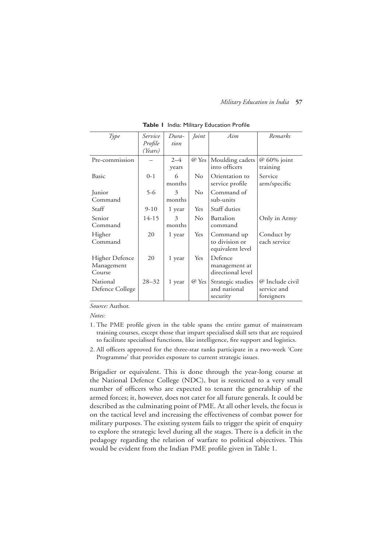| Type            | Service   | Dura-   | Joint             | Aim               | Remarks         |
|-----------------|-----------|---------|-------------------|-------------------|-----------------|
|                 | Profile   | tion    |                   |                   |                 |
|                 | (Years)   |         |                   |                   |                 |
| Pre-commission  |           | $2 - 4$ | $\varnothing$ Yes | Moulding cadets   | @ 60% joint     |
|                 |           | years   |                   | into officers     | training        |
| Basic           | $0 - 1$   | 6       | $\rm No$          | Orientation to    | Service         |
|                 |           | months  |                   | service profile   | arm/specific    |
| Junior          | $5-6$     | 3       | $\rm No$          | Command of        |                 |
| Command         |           | months  |                   | sub-units         |                 |
| Staff           | $9-10$    | 1 year  | Yes               | Staff duties      |                 |
| Senior          | 14-15     | 3       | $\rm No$          | Battalion         | Only in Army    |
| Command         |           | months  |                   | command           |                 |
| Higher          | 20        | 1 year  | Yes               | Command up        | Conduct by      |
| Command         |           |         |                   | to division or    | each service    |
|                 |           |         |                   | equivalent level  |                 |
| Higher Defence  | 20        | 1 year  | Yes               | Defence           |                 |
| Management      |           |         |                   | management at     |                 |
| Course          |           |         |                   | directional level |                 |
| National        | $28 - 32$ | 1 year  | $\oslash$ Yes     | Strategic studies | @ Include civil |
| Defence College |           |         |                   | and national      | service and     |
|                 |           |         |                   | security          | foreigners      |

|  |  |  | Table I India: Military Education Profile |  |
|--|--|--|-------------------------------------------|--|
|--|--|--|-------------------------------------------|--|

*Source:* Author.

*Notes:*

- 1. The PME profile given in the table spans the entire gamut of mainstream training courses, except those that impart specialised skill sets that are required to facilitate specialised functions, like intelligence, fire support and logistics.
- 2. All officers approved for the three-star ranks participate in a two-week 'Core Programme' that provides exposure to current strategic issues.

Brigadier or equivalent. This is done through the year-long course at the National Defence College (NDC), but is restricted to a very small number of officers who are expected to tenant the generalship of the armed forces; it, however, does not cater for all future generals. It could be described as the culminating point of PME. At all other levels, the focus is on the tactical level and increasing the effectiveness of combat power for military purposes. The existing system fails to trigger the spirit of enquiry to explore the strategic level during all the stages. There is a deficit in the pedagogy regarding the relation of warfare to political objectives. This would be evident from the Indian PME profile given in Table 1.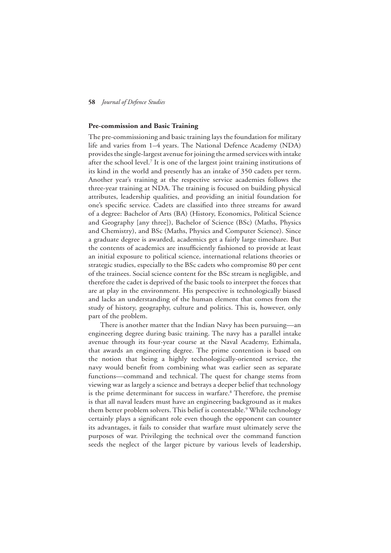#### **Pre-commission and Basic Training**

The pre-commissioning and basic training lays the foundation for military life and varies from 1–4 years. The National Defence Academy (NDA) provides the single-largest avenue for joining the armed services with intake after the school level.<sup>7</sup> It is one of the largest joint training institutions of its kind in the world and presently has an intake of 350 cadets per term. Another year's training at the respective service academies follows the three-year training at NDA. The training is focused on building physical attributes, leadership qualities, and providing an initial foundation for one's specific service. Cadets are classified into three streams for award of a degree: Bachelor of Arts (BA) (History, Economics, Political Science and Geography [any three]), Bachelor of Science (BSc) (Maths, Physics and Chemistry), and BSc (Maths, Physics and Computer Science). Since a graduate degree is awarded, academics get a fairly large timeshare. But the contents of academics are insufficiently fashioned to provide at least an initial exposure to political science, international relations theories or strategic studies, especially to the BSc cadets who compromise 80 per cent of the trainees. Social science content for the BSc stream is negligible, and therefore the cadet is deprived of the basic tools to interpret the forces that are at play in the environment. His perspective is technologically biased and lacks an understanding of the human element that comes from the study of history, geography, culture and politics. This is, however, only part of the problem.

There is another matter that the Indian Navy has been pursuing—an engineering degree during basic training. The navy has a parallel intake avenue through its four-year course at the Naval Academy, Ezhimala, that awards an engineering degree. The prime contention is based on the notion that being a highly technologically-oriented service, the navy would benefit from combining what was earlier seen as separate functions—command and technical. The quest for change stems from viewing war as largely a science and betrays a deeper belief that technology is the prime determinant for success in warfare.<sup>8</sup> Therefore, the premise is that all naval leaders must have an engineering background as it makes them better problem solvers. This belief is contestable.<sup>9</sup> While technology certainly plays a significant role even though the opponent can counter its advantages, it fails to consider that warfare must ultimately serve the purposes of war. Privileging the technical over the command function seeds the neglect of the larger picture by various levels of leadership,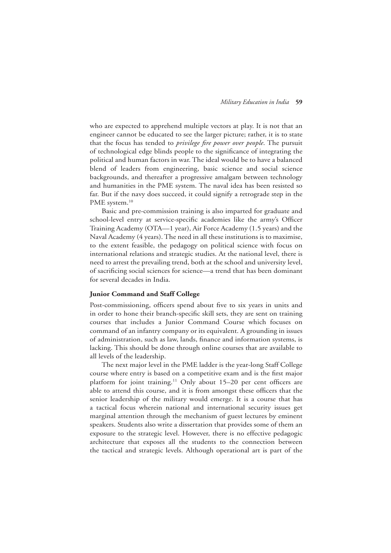who are expected to apprehend multiple vectors at play. It is not that an engineer cannot be educated to see the larger picture; rather, it is to state that the focus has tended to *privilege fire power over people*. The pursuit of technological edge blinds people to the significance of integrating the political and human factors in war. The ideal would be to have a balanced blend of leaders from engineering, basic science and social science backgrounds, and thereafter a progressive amalgam between technology and humanities in the PME system. The naval idea has been resisted so far. But if the navy does succeed, it could signify a retrograde step in the PME system.<sup>10</sup>

Basic and pre-commission training is also imparted for graduate and school-level entry at service-specific academies like the army's Officer Training Academy (OTA—1 year), Air Force Academy (1.5 years) and the Naval Academy (4 years). The need in all these institutions is to maximise, to the extent feasible, the pedagogy on political science with focus on international relations and strategic studies. At the national level, there is need to arrest the prevailing trend, both at the school and university level, of sacrificing social sciences for science—a trend that has been dominant for several decades in India.

#### **Junior Command and Staff College**

Post-commissioning, officers spend about five to six years in units and in order to hone their branch-specific skill sets, they are sent on training courses that includes a Junior Command Course which focuses on command of an infantry company or its equivalent. A grounding in issues of administration, such as law, lands, finance and information systems, is lacking. This should be done through online courses that are available to all levels of the leadership.

The next major level in the PME ladder is the year-long Staff College course where entry is based on a competitive exam and is the first major platform for joint training.<sup>11</sup> Only about 15–20 per cent officers are able to attend this course, and it is from amongst these officers that the senior leadership of the military would emerge. It is a course that has a tactical focus wherein national and international security issues get marginal attention through the mechanism of guest lectures by eminent speakers. Students also write a dissertation that provides some of them an exposure to the strategic level. However, there is no effective pedagogic architecture that exposes all the students to the connection between the tactical and strategic levels. Although operational art is part of the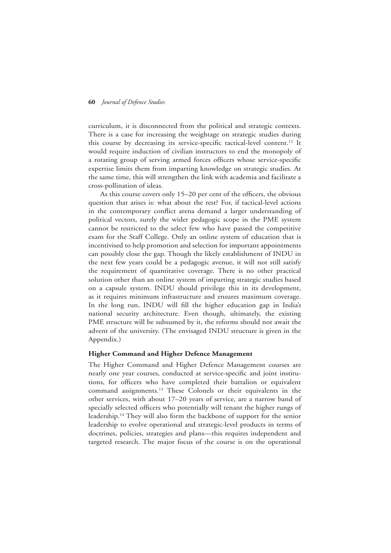curriculum, it is disconnected from the political and strategic contexts. There is a case for increasing the weightage on strategic studies during this course by decreasing its service-specific tactical-level content.12 It would require induction of civilian instructors to end the monopoly of a rotating group of serving armed forces officers whose service-specific expertise limits them from imparting knowledge on strategic studies. At the same time, this will strengthen the link with academia and facilitate a cross-pollination of ideas.

As this course covers only 15–20 per cent of the officers, the obvious question that arises is: what about the rest? For, if tactical-level actions in the contemporary conflict arena demand a larger understanding of political vectors, surely the wider pedagogic scope in the PME system cannot be restricted to the select few who have passed the competitive exam for the Staff College. Only an online system of education that is incentivised to help promotion and selection for important appointments can possibly close the gap. Though the likely establishment of INDU in the next few years could be a pedagogic avenue, it will not still satisfy the requirement of quantitative coverage. There is no other practical solution other than an online system of imparting strategic studies based on a capsule system. INDU should privilege this in its development, as it requires minimum infrastructure and ensures maximum coverage. In the long run, INDU will fill the higher education gap in India's national security architecture. Even though, ultimately, the existing PME structure will be subsumed by it, the reforms should not await the advent of the university. (The envisaged INDU structure is given in the Appendix.)

#### **Higher Command and Higher Defence Management**

The Higher Command and Higher Defence Management courses are nearly one year courses, conducted at service-specific and joint institutions, for officers who have completed their battalion or equivalent command assignments.13 These Colonels or their equivalents in the other services, with about 17–20 years of service, are a narrow band of specially selected officers who potentially will tenant the higher rungs of leadership.14 They will also form the backbone of support for the senior leadership to evolve operational and strategic-level products in terms of doctrines, policies, strategies and plans—this requires independent and targeted research. The major focus of the course is on the operational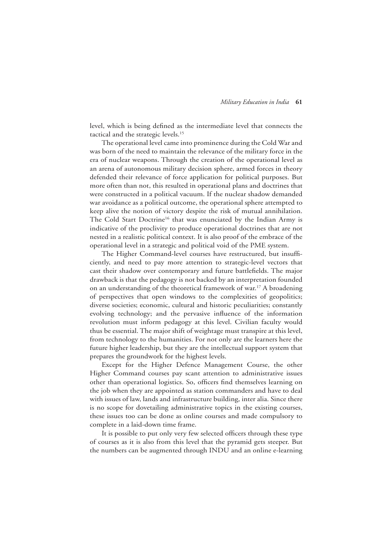level, which is being defined as the intermediate level that connects the tactical and the strategic levels.<sup>15</sup>

The operational level came into prominence during the Cold War and was born of the need to maintain the relevance of the military force in the era of nuclear weapons. Through the creation of the operational level as an arena of autonomous military decision sphere, armed forces in theory defended their relevance of force application for political purposes. But more often than not, this resulted in operational plans and doctrines that were constructed in a political vacuum. If the nuclear shadow demanded war avoidance as a political outcome, the operational sphere attempted to keep alive the notion of victory despite the risk of mutual annihilation. The Cold Start Doctrine<sup>16</sup> that was enunciated by the Indian Army is indicative of the proclivity to produce operational doctrines that are not nested in a realistic political context. It is also proof of the embrace of the operational level in a strategic and political void of the PME system.

The Higher Command-level courses have restructured, but insufficiently, and need to pay more attention to strategic-level vectors that cast their shadow over contemporary and future battlefields. The major drawback is that the pedagogy is not backed by an interpretation founded on an understanding of the theoretical framework of war.17 A broadening of perspectives that open windows to the complexities of geopolitics; diverse societies; economic, cultural and historic peculiarities; constantly evolving technology; and the pervasive influence of the information revolution must inform pedagogy at this level. Civilian faculty would thus be essential. The major shift of weightage must transpire at this level, from technology to the humanities. For not only are the learners here the future higher leadership, but they are the intellectual support system that prepares the groundwork for the highest levels.

Except for the Higher Defence Management Course, the other Higher Command courses pay scant attention to administrative issues other than operational logistics. So, officers find themselves learning on the job when they are appointed as station commanders and have to deal with issues of law, lands and infrastructure building, inter alia. Since there is no scope for dovetailing administrative topics in the existing courses, these issues too can be done as online courses and made compulsory to complete in a laid-down time frame.

It is possible to put only very few selected officers through these type of courses as it is also from this level that the pyramid gets steeper. But the numbers can be augmented through INDU and an online e-learning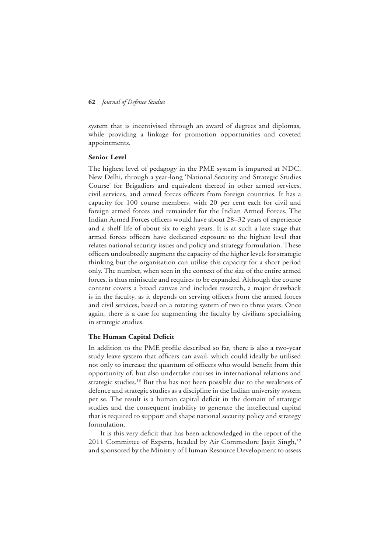system that is incentivised through an award of degrees and diplomas, while providing a linkage for promotion opportunities and coveted appointments.

#### **Senior Level**

The highest level of pedagogy in the PME system is imparted at NDC, New Delhi, through a year-long 'National Security and Strategic Studies Course' for Brigadiers and equivalent thereof in other armed services, civil services, and armed forces officers from foreign countries. It has a capacity for 100 course members, with 20 per cent each for civil and foreign armed forces and remainder for the Indian Armed Forces. The Indian Armed Forces officers would have about 28–32 years of experience and a shelf life of about six to eight years. It is at such a late stage that armed forces officers have dedicated exposure to the highest level that relates national security issues and policy and strategy formulation. These officers undoubtedly augment the capacity of the higher levels for strategic thinking but the organisation can utilise this capacity for a short period only. The number, when seen in the context of the size of the entire armed forces, is thus miniscule and requires to be expanded. Although the course content covers a broad canvas and includes research, a major drawback is in the faculty, as it depends on serving officers from the armed forces and civil services, based on a rotating system of two to three years. Once again, there is a case for augmenting the faculty by civilians specialising in strategic studies.

#### **The Human Capital Deficit**

In addition to the PME profile described so far, there is also a two-year study leave system that officers can avail, which could ideally be utilised not only to increase the quantum of officers who would benefit from this opportunity of, but also undertake courses in international relations and strategic studies.<sup>18</sup> But this has not been possible due to the weakness of defence and strategic studies as a discipline in the Indian university system per se. The result is a human capital deficit in the domain of strategic studies and the consequent inability to generate the intellectual capital that is required to support and shape national security policy and strategy formulation.

It is this very deficit that has been acknowledged in the report of the 2011 Committee of Experts, headed by Air Commodore Jasjit Singh,<sup>19</sup> and sponsored by the Ministry of Human Resource Development to assess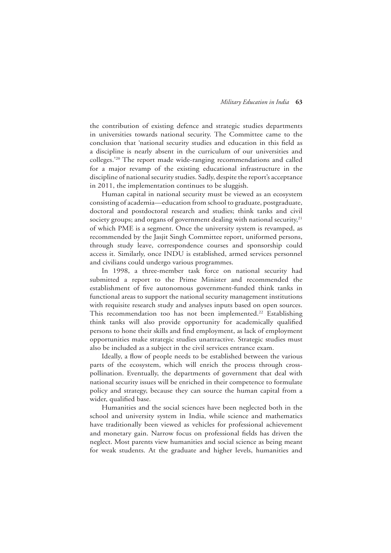the contribution of existing defence and strategic studies departments in universities towards national security. The Committee came to the conclusion that 'national security studies and education in this field as a discipline is nearly absent in the curriculum of our universities and colleges.'20 The report made wide-ranging recommendations and called for a major revamp of the existing educational infrastructure in the discipline of national security studies. Sadly, despite the report's acceptance in 2011, the implementation continues to be sluggish.

Human capital in national security must be viewed as an ecosystem consisting of academia—education from school to graduate, postgraduate, doctoral and postdoctoral research and studies; think tanks and civil society groups; and organs of government dealing with national security,<sup>21</sup> of which PME is a segment. Once the university system is revamped, as recommended by the Jasjit Singh Committee report, uniformed persons, through study leave, correspondence courses and sponsorship could access it. Similarly, once INDU is established, armed services personnel and civilians could undergo various programmes.

In 1998, a three-member task force on national security had submitted a report to the Prime Minister and recommended the establishment of five autonomous government-funded think tanks in functional areas to support the national security management institutions with requisite research study and analyses inputs based on open sources. This recommendation too has not been implemented.<sup>22</sup> Establishing think tanks will also provide opportunity for academically qualified persons to hone their skills and find employment, as lack of employment opportunities make strategic studies unattractive. Strategic studies must also be included as a subject in the civil services entrance exam.

Ideally, a flow of people needs to be established between the various parts of the ecosystem, which will enrich the process through crosspollination. Eventually, the departments of government that deal with national security issues will be enriched in their competence to formulate policy and strategy, because they can source the human capital from a wider, qualified base.

Humanities and the social sciences have been neglected both in the school and university system in India, while science and mathematics have traditionally been viewed as vehicles for professional achievement and monetary gain. Narrow focus on professional fields has driven the neglect. Most parents view humanities and social science as being meant for weak students. At the graduate and higher levels, humanities and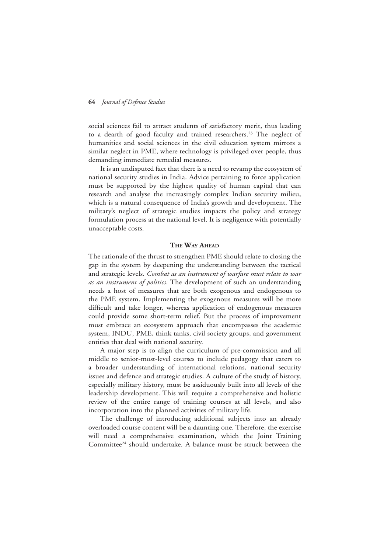social sciences fail to attract students of satisfactory merit, thus leading to a dearth of good faculty and trained researchers.<sup>23</sup> The neglect of humanities and social sciences in the civil education system mirrors a similar neglect in PME, where technology is privileged over people, thus demanding immediate remedial measures.

It is an undisputed fact that there is a need to revamp the ecosystem of national security studies in India. Advice pertaining to force application must be supported by the highest quality of human capital that can research and analyse the increasingly complex Indian security milieu, which is a natural consequence of India's growth and development. The military's neglect of strategic studies impacts the policy and strategy formulation process at the national level. It is negligence with potentially unacceptable costs.

#### **The Way Ahead**

The rationale of the thrust to strengthen PME should relate to closing the gap in the system by deepening the understanding between the tactical and strategic levels. *Combat as an instrument of warfare must relate to war as an instrument of politics*. The development of such an understanding needs a host of measures that are both exogenous and endogenous to the PME system. Implementing the exogenous measures will be more difficult and take longer, whereas application of endogenous measures could provide some short-term relief. But the process of improvement must embrace an ecosystem approach that encompasses the academic system, INDU, PME, think tanks, civil society groups, and government entities that deal with national security.

A major step is to align the curriculum of pre-commission and all middle to senior-most-level courses to include pedagogy that caters to a broader understanding of international relations, national security issues and defence and strategic studies. A culture of the study of history, especially military history, must be assiduously built into all levels of the leadership development. This will require a comprehensive and holistic review of the entire range of training courses at all levels, and also incorporation into the planned activities of military life.

The challenge of introducing additional subjects into an already overloaded course content will be a daunting one. Therefore, the exercise will need a comprehensive examination, which the Joint Training Committee<sup>24</sup> should undertake. A balance must be struck between the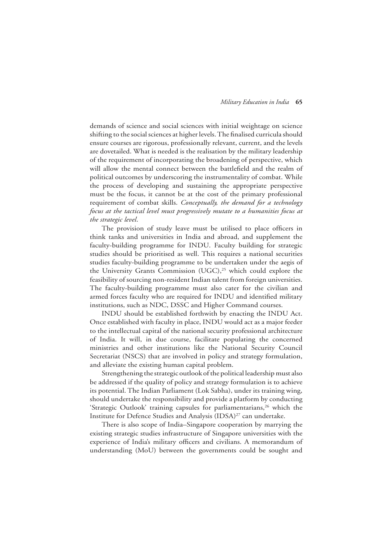demands of science and social sciences with initial weightage on science shifting to the social sciences at higher levels. The finalised curricula should ensure courses are rigorous, professionally relevant, current, and the levels are dovetailed. What is needed is the realisation by the military leadership of the requirement of incorporating the broadening of perspective, which will allow the mental connect between the battlefield and the realm of political outcomes by underscoring the instrumentality of combat. While the process of developing and sustaining the appropriate perspective must be the focus, it cannot be at the cost of the primary professional requirement of combat skills. *Conceptually, the demand for a technology focus at the tactical level must progressively mutate to a humanities focus at the strategic level*.

The provision of study leave must be utilised to place officers in think tanks and universities in India and abroad, and supplement the faculty-building programme for INDU. Faculty building for strategic studies should be prioritised as well. This requires a national securities studies faculty-building programme to be undertaken under the aegis of the University Grants Commission (UGC),<sup>25</sup> which could explore the feasibility of sourcing non-resident Indian talent from foreign universities. The faculty-building programme must also cater for the civilian and armed forces faculty who are required for INDU and identified military institutions, such as NDC, DSSC and Higher Command courses.

INDU should be established forthwith by enacting the INDU Act. Once established with faculty in place, INDU would act as a major feeder to the intellectual capital of the national security professional architecture of India. It will, in due course, facilitate populating the concerned ministries and other institutions like the National Security Council Secretariat (NSCS) that are involved in policy and strategy formulation, and alleviate the existing human capital problem.

Strengthening the strategic outlook of the political leadership must also be addressed if the quality of policy and strategy formulation is to achieve its potential. The Indian Parliament (Lok Sabha), under its training wing, should undertake the responsibility and provide a platform by conducting 'Strategic Outlook' training capsules for parliamentarians,<sup>26</sup> which the Institute for Defence Studies and Analysis (IDSA)<sup>27</sup> can undertake.

There is also scope of India–Singapore cooperation by marrying the existing strategic studies infrastructure of Singapore universities with the experience of India's military officers and civilians. A memorandum of understanding (MoU) between the governments could be sought and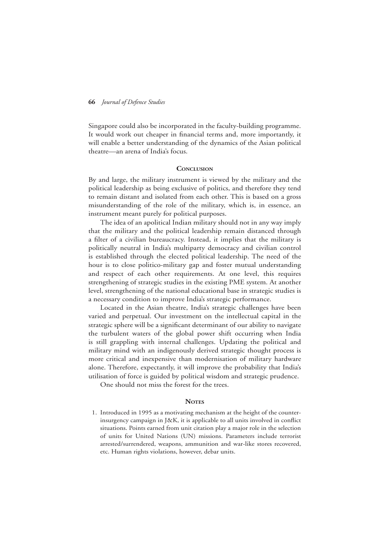Singapore could also be incorporated in the faculty-building programme. It would work out cheaper in financial terms and, more importantly, it will enable a better understanding of the dynamics of the Asian political theatre—an arena of India's focus.

#### **Conclusion**

By and large, the military instrument is viewed by the military and the political leadership as being exclusive of politics, and therefore they tend to remain distant and isolated from each other. This is based on a gross misunderstanding of the role of the military, which is, in essence, an instrument meant purely for political purposes.

The idea of an apolitical Indian military should not in any way imply that the military and the political leadership remain distanced through a filter of a civilian bureaucracy. Instead, it implies that the military is politically neutral in India's multiparty democracy and civilian control is established through the elected political leadership. The need of the hour is to close politico-military gap and foster mutual understanding and respect of each other requirements. At one level, this requires strengthening of strategic studies in the existing PME system. At another level, strengthening of the national educational base in strategic studies is a necessary condition to improve India's strategic performance.

Located in the Asian theatre, India's strategic challenges have been varied and perpetual. Our investment on the intellectual capital in the strategic sphere will be a significant determinant of our ability to navigate the turbulent waters of the global power shift occurring when India is still grappling with internal challenges. Updating the political and military mind with an indigenously derived strategic thought process is more critical and inexpensive than modernisation of military hardware alone. Therefore, expectantly, it will improve the probability that India's utilisation of force is guided by political wisdom and strategic prudence.

One should not miss the forest for the trees.

#### **NOTES**

1. Introduced in 1995 as a motivating mechanism at the height of the counterinsurgency campaign in J&K, it is applicable to all units involved in conflict situations. Points earned from unit citation play a major role in the selection of units for United Nations (UN) missions. Parameters include terrorist arrested/surrendered, weapons, ammunition and war-like stores recovered, etc. Human rights violations, however, debar units.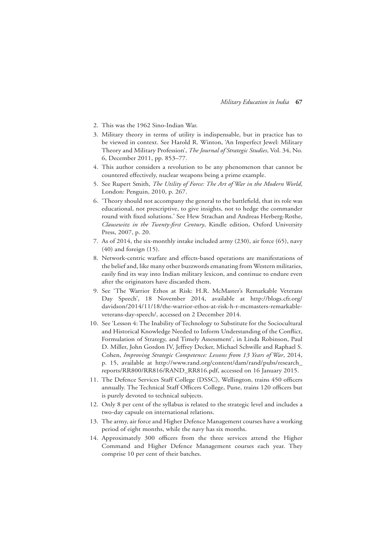- 2. This was the 1962 Sino-Indian War.
- 3. Military theory in terms of utility is indispensable, but in practice has to be viewed in context. See Harold R. Winton, 'An Imperfect Jewel: Military Theory and Military Profession', *The Journal of Strategic Studies*, Vol. 34, No. 6, December 2011, pp. 853–77.
- 4. This author considers a revolution to be any phenomenon that cannot be countered effectively, nuclear weapons being a prime example.
- 5. See Rupert Smith, *The Utility of Force: The Art of War in the Modern World*, London: Penguin, 2010, p. 267.
- 6. 'Theory should not accompany the general to the battlefield, that its role was educational, not prescriptive, to give insights, not to hedge the commander round with fixed solutions.' See Hew Strachan and Andreas Herberg-Rothe, *Clausewitz in the Twenty-first Century*, Kindle edition, Oxford University Press, 2007, p. 20.
- 7. As of 2014, the six-monthly intake included army (230), air force (65), navy (40) and foreign (15).
- 8. Network-centric warfare and effects-based operations are manifestations of the belief and, like many other buzzwords emanating from Western militaries, easily find its way into Indian military lexicon, and continue to endure even after the originators have discarded them.
- 9. See 'The Warrior Ethos at Risk: H.R. McMaster's Remarkable Veterans Day Speech', 18 November 2014, available at http://blogs.cfr.org/ davidson/2014/11/18/the-warrior-ethos-at-risk-h-r-mcmasters-remarkableveterans-day-speech/, accessed on 2 December 2014.
- 10. See 'Lesson 4: The Inability of Technology to Substitute for the Sociocultural and Historical Knowledge Needed to Inform Understanding of the Conflict, Formulation of Strategy, and Timely Assessment', in Linda Robinson, Paul D. Miller, John Gordon IV, Jeffrey Decker, Michael Schwille and Raphael S. Cohen, *Improving Strategic Competence: Lessons from 13 Years of War*, 2014, p. 15, available at http://www.rand.org/content/dam/rand/pubs/research\_ reports/RR800/RR816/RAND\_RR816.pdf, accessed on 16 January 2015.
- 11. The Defence Services Staff College (DSSC), Wellington, trains 450 officers annually. The Technical Staff Officers College, Pune, trains 120 officers but is purely devoted to technical subjects.
- 12. Only 8 per cent of the syllabus is related to the strategic level and includes a two-day capsule on international relations.
- 13. The army, air force and Higher Defence Management courses have a working period of eight months, while the navy has six months.
- 14. Approximately 300 officers from the three services attend the Higher Command and Higher Defence Management courses each year. They comprise 10 per cent of their batches.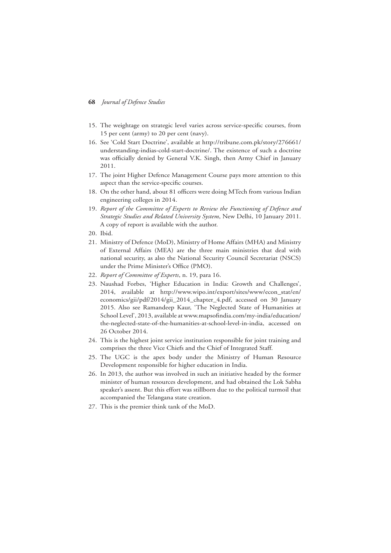- 15. The weightage on strategic level varies across service-specific courses, from 15 per cent (army) to 20 per cent (navy).
- 16. See 'Cold Start Doctrine', available at http://tribune.com.pk/story/276661/ understanding-indias-cold-start-doctrine/. The existence of such a doctrine was officially denied by General V.K. Singh, then Army Chief in January 2011.
- 17. The joint Higher Defence Management Course pays more attention to this aspect than the service-specific courses.
- 18. On the other hand, about 81 officers were doing MTech from various Indian engineering colleges in 2014.
- 19. *Report of the Committee of Experts to Review the Functioning of Defence and Strategic Studies and Related University System*, New Delhi, 10 January 2011. A copy of report is available with the author.
- 20. Ibid.
- 21. Ministry of Defence (MoD), Ministry of Home Affairs (MHA) and Ministry of External Affairs (MEA) are the three main ministries that deal with national security, as also the National Security Council Secretariat (NSCS) under the Prime Minister's Office (PMO).
- 22. *Report of Committee of Experts*, n. 19, para 16.
- 23. Naushad Forbes, 'Higher Education in India: Growth and Challenges', 2014, available at http://www.wipo.int/export/sites/www/econ\_stat/en/ economics/gii/pdf/2014/gii\_2014\_chapter\_4.pdf, accessed on 30 January 2015. Also see Ramandeep Kaur, 'The Neglected State of Humanities at School Level', 2013, available at www.mapsofindia.com/my-india/education/ the-neglected-state-of-the-humanities-at-school-level-in-india, accessed on 26 October 2014.
- 24. This is the highest joint service institution responsible for joint training and comprises the three Vice Chiefs and the Chief of Integrated Staff.
- 25. The UGC is the apex body under the Ministry of Human Resource Development responsible for higher education in India.
- 26. In 2013, the author was involved in such an initiative headed by the former minister of human resources development, and had obtained the Lok Sabha speaker's assent. But this effort was stillborn due to the political turmoil that accompanied the Telangana state creation.
- 27. This is the premier think tank of the MoD.